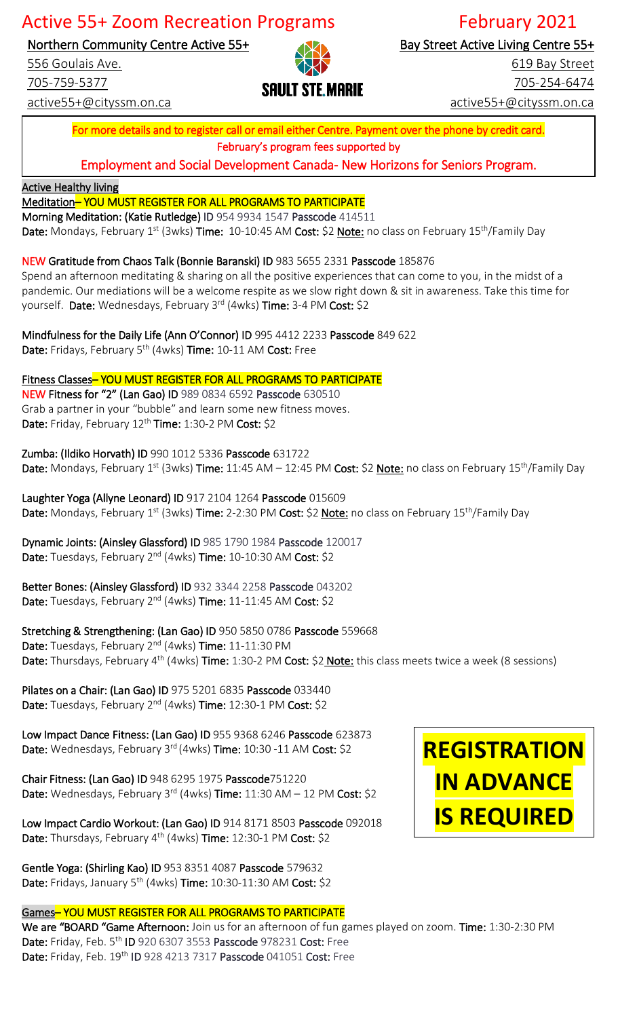# Active 55+ Zoom Recreation Programs February 2021

Northern Community Centre Active 55+

556 Goulais Ave.

705-759-5377

active55+@cityssm.on.ca



Bay Street Active Living Centre 55+

619 Bay Street 705-254-6474 active55+@cityssm.on.ca

For more details and to register call or email either Centre. Payment over the phone by credit card. February's program fees supported by

Employment and Social Development Canada- New Horizons for Seniors Program.

**Active Healthy living** 

### Meditation– YOU MUST REGISTER FOR ALL PROGRAMS TO PARTICIPATE

Morning Meditation: (Katie Rutledge) ID 954 9934 1547 Passcode 414511

Date: Mondays, February 1<sup>st</sup> (3wks) Time: 10-10:45 AM Cost: \$2 Note: no class on February 15<sup>th</sup>/Family Day

NEW Gratitude from Chaos Talk (Bonnie Baranski) ID 983 5655 2331 Passcode 185876

Spend an afternoon meditating & sharing on all the positive experiences that can come to you, in the midst of a pandemic. Our mediations will be a welcome respite as we slow right down & sit in awareness. Take this time for yourself. Date: Wednesdays, February 3rd (4wks) Time: 3-4 PM Cost: \$2

Mindfulness for the Daily Life (Ann O'Connor) ID 995 4412 2233 Passcode 849 622 Date: Fridays, February 5<sup>th</sup> (4wks) Time: 10-11 AM Cost: Free

Fitness Classes-YOU MUST REGISTER FOR ALL PROGRAMS TO PARTICIPATE NEW Fitness for "2" (Lan Gao) ID 989 0834 6592 Passcode 630510 Grab a partner in your "bubble" and learn some new fitness moves. Date: Friday, February 12<sup>th</sup> Time: 1:30-2 PM Cost: \$2

Zumba: (Ildiko Horvath) ID 990 1012 5336 Passcode 631722 Date: Mondays, February 1<sup>st</sup> (3wks) Time: 11:45 AM – 12:45 PM Cost: \$2 Note: no class on February 15<sup>th</sup>/Family Day

Laughter Yoga (Allyne Leonard) ID 917 2104 1264 Passcode 015609 Date: Mondays, February 1<sup>st</sup> (3wks) Time: 2-2:30 PM Cost: \$2 Note: no class on February 15<sup>th</sup>/Family Day

Dynamic Joints: (Ainsley Glassford) ID 985 1790 1984 Passcode 120017 Date: Tuesdays, February 2<sup>nd</sup> (4wks) Time: 10-10:30 AM Cost: \$2

Better Bones: (Ainsley Glassford) ID 932 3344 2258 Passcode 043202 Date: Tuesdays, February 2<sup>nd</sup> (4wks) Time: 11-11:45 AM Cost: \$2

Stretching & Strengthening: (Lan Gao) ID 950 5850 0786 Passcode 559668 Date: Tuesdays, February 2<sup>nd</sup> (4wks) Time: 11-11:30 PM

Date: Thursdays, February 4<sup>th</sup> (4wks) Time: 1:30-2 PM Cost: \$2 Note: this class meets twice a week (8 sessions)

Pilates on a Chair: (Lan Gao) ID 975 5201 6835 Passcode 033440 Date: Tuesdays, February 2<sup>nd</sup> (4wks) Time: 12:30-1 PM Cost: \$2

Low Impact Dance Fitness: (Lan Gao) ID 955 9368 6246 Passcode 623873 Date: Wednesdays, February 3<sup>rd</sup> (4wks) Time: 10:30 -11 AM Cost: \$2

Chair Fitness: (Lan Gao) ID 948 6295 1975 Passcode751220 Date: Wednesdays, February 3<sup>rd</sup> (4wks) Time: 11:30 AM - 12 PM Cost: \$2

Low Impact Cardio Workout: (Lan Gao) ID 914 8171 8503 Passcode 092018 Date: Thursdays, February 4<sup>th</sup> (4wks) Time: 12:30-1 PM Cost: \$2

Gentle Yoga: (Shirling Kao) ID 953 8351 4087 Passcode 579632 Date: Fridays, January 5<sup>th</sup> (4wks) Time: 10:30-11:30 AM Cost: \$2

Games– YOU MUST REGISTER FOR ALL PROGRAMS TO PARTICIPATE

We are "BOARD "Game Afternoon: Join us for an afternoon of fun games played on zoom. Time: 1:30-2:30 PM Date: Friday, Feb. 5<sup>th</sup> ID 920 6307 3553 Passcode 978231 Cost: Free Date: Friday, Feb. 19<sup>th</sup> ID 928 4213 7317 Passcode 041051 Cost: Free

# **REGISTRATION IN ADVANCE IS REQUIRED**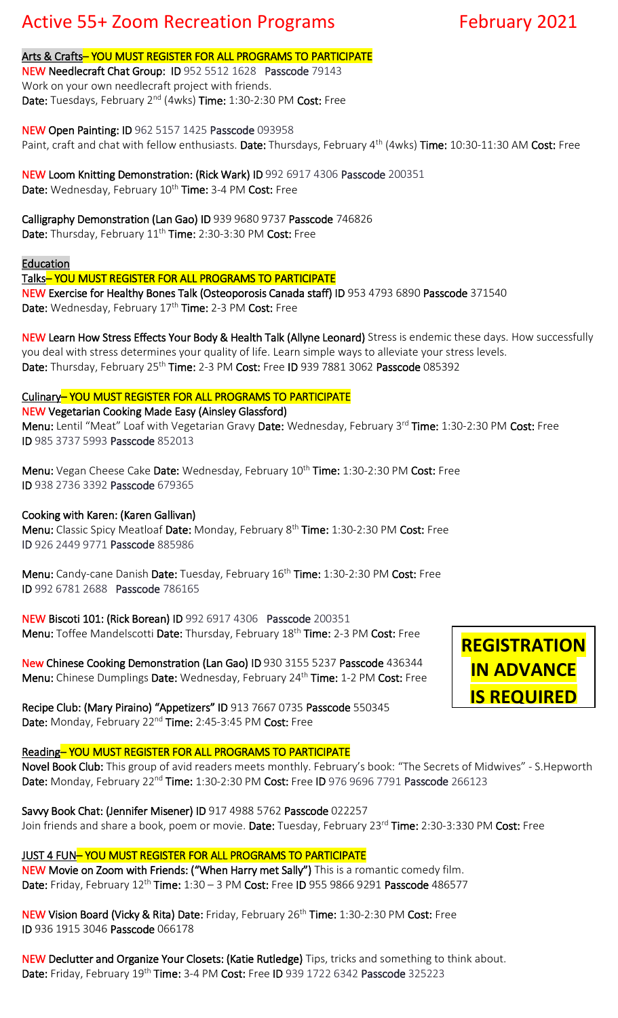# Active 55+ Zoom Recreation Programs February 2021

#### Arts & Crafts-YOU MUST REGISTER FOR ALL PROGRAMS TO PARTICIPATE

NEW Needlecraft Chat Group: ID 952 5512 1628 Passcode 79143 Work on your own needlecraft project with friends. Date: Tuesdays, February 2<sup>nd</sup> (4wks) Time: 1:30-2:30 PM Cost: Free

NEW Open Painting: ID 962 5157 1425 Passcode 093958 Paint, craft and chat with fellow enthusiasts. Date: Thursdays, February 4<sup>th</sup> (4wks) Time: 10:30-11:30 AM Cost: Free

NEW Loom Knitting Demonstration: (Rick Wark) ID 992 6917 4306 Passcode 200351 Date: Wednesday, February 10<sup>th</sup> Time: 3-4 PM Cost: Free

Calligraphy Demonstration (Lan Gao) ID 939 9680 9737 Passcode 746826 Date: Thursday, February 11<sup>th</sup> Time: 2:30-3:30 PM Cost: Free

#### Education

Talks– YOU MUST REGISTER FOR ALL PROGRAMS TO PARTICIPATE

NEW Exercise for Healthy Bones Talk (Osteoporosis Canada staff) ID 953 4793 6890 Passcode 371540 Date: Wednesday, February 17<sup>th</sup> Time: 2-3 PM Cost: Free

NEW Learn How Stress Effects Your Body & Health Talk (Allyne Leonard) Stress is endemic these days. How successfully you deal with stress determines your quality of life. Learn simple ways to alleviate your stress levels. Date: Thursday, February 25<sup>th</sup> Time: 2-3 PM Cost: Free ID 939 7881 3062 Passcode 085392

#### Culinary– YOU MUST REGISTER FOR ALL PROGRAMS TO PARTICIPATE

NEW Vegetarian Cooking Made Easy (Ainsley Glassford)

Menu: Lentil "Meat" Loaf with Vegetarian Gravy Date: Wednesday, February 3rd Time: 1:30-2:30 PM Cost: Free ID 985 3737 5993 Passcode 852013

Menu: Vegan Cheese Cake Date: Wednesday, February 10<sup>th</sup> Time: 1:30-2:30 PM Cost: Free ID 938 2736 3392 Passcode 679365

#### Cooking with Karen: (Karen Gallivan)

Menu: Classic Spicy Meatloaf Date: Monday, February 8<sup>th</sup> Time: 1:30-2:30 PM Cost: Free ID 926 2449 9771 Passcode 885986

Menu: Candy-cane Danish Date: Tuesday, February 16<sup>th</sup> Time: 1:30-2:30 PM Cost: Free ID 992 6781 2688 Passcode 786165

NEW Biscoti 101: (Rick Borean) ID 992 6917 4306 Passcode 200351 Menu: Toffee Mandelscotti Date: Thursday, February 18<sup>th</sup> Time: 2-3 PM Cost: Free

New Chinese Cooking Demonstration (Lan Gao) ID 930 3155 5237 Passcode 436344 Menu: Chinese Dumplings Date: Wednesday, February 24<sup>th</sup> Time: 1-2 PM Cost: Free

Recipe Club: (Mary Piraino) "Appetizers" ID 913 7667 0735 Passcode 550345 Date: Monday, February 22<sup>nd</sup> Time: 2:45-3:45 PM Cost: Free

#### Reading– YOU MUST REGISTER FOR ALL PROGRAMS TO PARTICIPATE

Novel Book Club: This group of avid readers meets monthly. February's book: "The Secrets of Midwives" - S.Hepworth Date: Monday, February 22<sup>nd</sup> Time: 1:30-2:30 PM Cost: Free ID 976 9696 7791 Passcode 266123

Savvy Book Chat: (Jennifer Misener) ID 917 4988 5762 Passcode 022257 Join friends and share a book, poem or movie. Date: Tuesday, February 23<sup>rd</sup> Time: 2:30-3:330 PM Cost: Free

#### JUST 4 FUN– YOU MUST REGISTER FOR ALL PROGRAMS TO PARTICIPATE

NEW Movie on Zoom with Friends: ("When Harry met Sally") This is a romantic comedy film. Date: Friday, February 12<sup>th</sup> Time: 1:30 - 3 PM Cost: Free ID 955 9866 9291 Passcode 486577

NEW Vision Board (Vicky & Rita) Date: Friday, February 26<sup>th</sup> Time: 1:30-2:30 PM Cost: Free ID 936 1915 3046 Passcode 066178

NEW Declutter and Organize Your Closets: (Katie Rutledge) Tips, tricks and something to think about. Date: Friday, February 19<sup>th</sup> Time: 3-4 PM Cost: Free ID 939 1722 6342 Passcode 325223